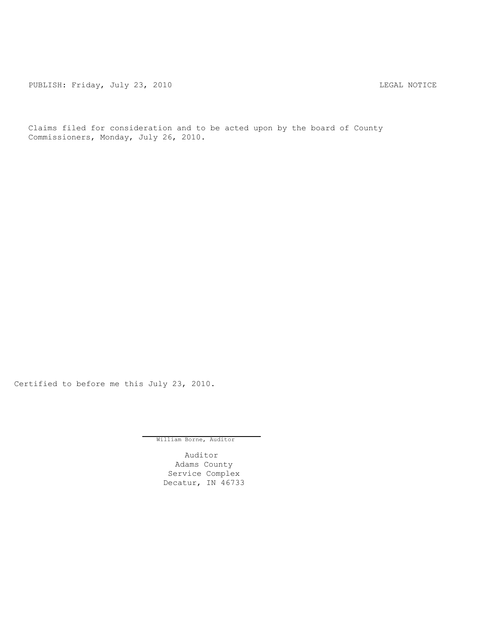PUBLISH: Friday, July 23, 2010 CHA CHANGE CONTROL CONTROL CONTROL CONTROL CONTROL CONTROL CONTROL CONTROL CONTR

Claims filed for consideration and to be acted upon by the board of County Commissioners, Monday, July 26, 2010.

Certified to before me this July 23, 2010.

William Borne, Auditor

Auditor Adams County Service Complex Decatur, IN 46733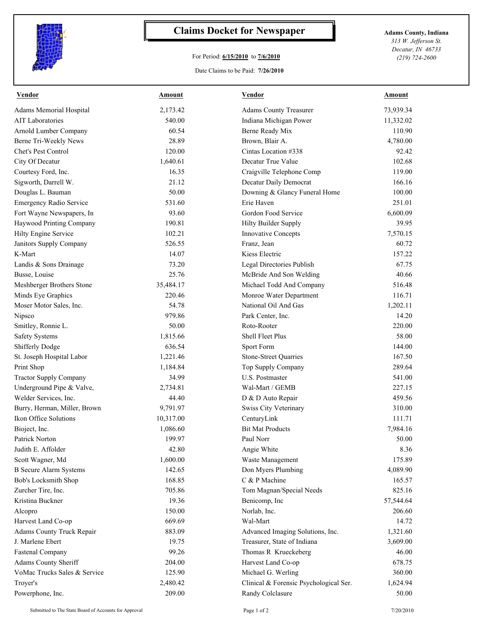

## **Claims Docket for Newspaper Adams County, Indiana**

## For Period: **6/15/2010** to **7/6/2010**

Date Claims to be Paid: **7/26/2010**

*313 W. Jefferson St. Decatur, IN 46733 (219) 724-2600*

| <b>Vendor</b>                    | <b>Amount</b> | <b>Vendor</b>                          | <b>Amount</b> |
|----------------------------------|---------------|----------------------------------------|---------------|
| <b>Adams Memorial Hospital</b>   | 2,173.42      | <b>Adams County Treasurer</b>          | 73,939.34     |
| <b>AIT Laboratories</b>          | 540.00        | Indiana Michigan Power                 | 11,332.02     |
| Arnold Lumber Company            | 60.54         | Berne Ready Mix                        | 110.90        |
| Berne Tri-Weekly News            | 28.89         | Brown, Blair A.                        | 4,780.00      |
| Chet's Pest Control              | 120.00        | Cintas Location #338                   | 92.42         |
| City Of Decatur                  | 1,640.61      | Decatur True Value                     | 102.68        |
| Courtesy Ford, Inc.              | 16.35         | Craigville Telephone Comp              | 119.00        |
| Sigworth, Darrell W.             | 21.12         | Decatur Daily Democrat                 | 166.16        |
| Douglas L. Bauman                | 50.00         | Downing & Glancy Funeral Home          | 100.00        |
| <b>Emergency Radio Service</b>   | 531.60        | Erie Haven                             | 251.01        |
| Fort Wayne Newspapers, In        | 93.60         | Gordon Food Service                    | 6,600.09      |
| Haywood Printing Company         | 190.81        | Hilty Builder Supply                   | 39.95         |
| Hilty Engine Service             | 102.21        | <b>Innovative Concepts</b>             | 7,570.15      |
| Janitors Supply Company          | 526.55        | Franz, Jean                            | 60.72         |
| K-Mart                           | 14.07         | Kiess Electric                         | 157.22        |
| Landis & Sons Drainage           | 73.20         | Legal Directories Publish              | 67.75         |
| Busse, Louise                    | 25.76         | McBride And Son Welding                | 40.66         |
| Meshberger Brothers Stone        | 35,484.17     | Michael Todd And Company               | 516.48        |
| Minds Eye Graphics               | 220.46        | Monroe Water Department                | 116.71        |
| Moser Motor Sales, Inc.          | 54.78         | National Oil And Gas                   | 1,202.11      |
| Nipsco                           | 979.86        | Park Center, Inc.                      | 14.20         |
| Smitley, Ronnie L.               | 50.00         | Roto-Rooter                            | 220.00        |
| <b>Safety Systems</b>            | 1,815.66      | <b>Shell Fleet Plus</b>                | 58.00         |
| <b>Shifferly Dodge</b>           | 636.54        | Sport Form                             | 144.00        |
| St. Joseph Hospital Labor        | 1,221.46      | <b>Stone-Street Quarries</b>           | 167.50        |
| Print Shop                       | 1,184.84      | Top Supply Company                     | 289.64        |
| <b>Tractor Supply Company</b>    | 34.99         | U.S. Postmaster                        | 541.00        |
| Underground Pipe & Valve,        | 2,734.81      | Wal-Mart / GEMB                        | 227.15        |
| Welder Services, Inc.            | 44.40         | D & D Auto Repair                      | 459.56        |
| Burry, Herman, Miller, Brown     | 9,791.97      | Swiss City Veterinary                  | 310.00        |
| Ikon Office Solutions            | 10,317.00     | CenturyLink                            | 111.71        |
| Bioject, Inc.                    | 1,086.60      | <b>Bit Mat Products</b>                | 7,984.16      |
| Patrick Norton                   | 199.97        | Paul Norr                              | 50.00         |
| Judith E. Affolder               | 42.80         | Angie White                            | 8.36          |
| Scott Wagner, Md                 | 1,600.00      | Waste Management                       | 175.89        |
| <b>B</b> Secure Alarm Systems    | 142.65        | Don Myers Plumbing                     | 4,089.90      |
| Bob's Locksmith Shop             | 168.85        | C & P Machine                          | 165.57        |
| Zurcher Tire, Inc.               | 705.86        | Tom Magnan/Special Needs               | 825.16        |
| Kristina Buckner                 | 19.36         | Benicomp, Inc                          | 57,544.64     |
| Alcopro                          | 150.00        | Norlab, Inc.                           | 206.60        |
| Harvest Land Co-op               | 669.69        | Wal-Mart                               | 14.72         |
| <b>Adams County Truck Repair</b> | 883.09        | Advanced Imaging Solutions, Inc.       | 1,321.60      |
| J. Marlene Ebert                 | 19.75         | Treasurer, State of Indiana            | 3,609.00      |
| <b>Fastenal Company</b>          | 99.26         | Thomas R Krueckeberg                   | 46.00         |
| Adams County Sheriff             | 204.00        | Harvest Land Co-op                     | 678.75        |
| VoMac Trucks Sales & Service     | 125.90        | Michael G. Werling                     | 360.00        |
| Troyer's                         | 2,480.42      | Clinical & Forensic Psychological Ser. | 1,624.94      |
| Powerphone, Inc.                 | 209.00        | Randy Colclasure                       | 50.00         |

Submitted to The State Board of Accounts for Approval Page 1 of 2 7/20/2010